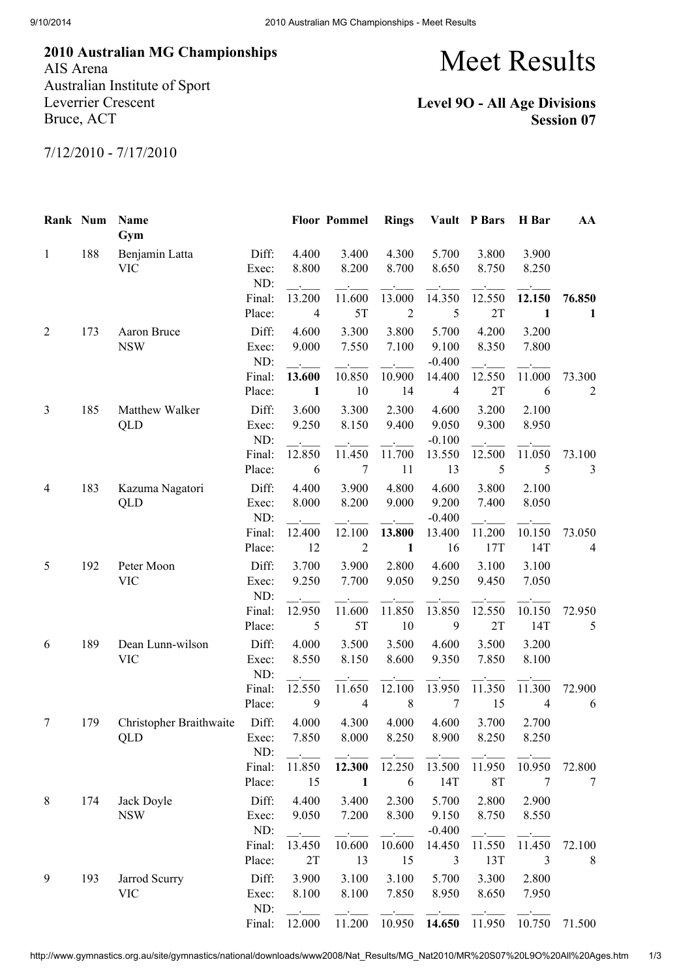2010 Australian MG Championships AIS Arena Australian Institute of Sport Leverrier Crescent

## Meet Results

## Level 9O - All Age Divisions Session 07

7/12/2010 - 7/17/2010

Bruce, ACT

| Rank Num     |     | Name<br>Gym                    |                         |                          | <b>Floor Pommel</b>                | <b>Rings</b>         |                                      | Vault P Bars        | H Bar                    | AA                       |
|--------------|-----|--------------------------------|-------------------------|--------------------------|------------------------------------|----------------------|--------------------------------------|---------------------|--------------------------|--------------------------|
| $\mathbf{1}$ | 188 | Benjamin Latta<br><b>VIC</b>   | Diff:<br>Exec:<br>ND:   | 4.400<br>8.800           | 3.400<br>8.200                     | 4.300<br>8.700       | 5.700<br>8.650                       | 3.800<br>8.750      | 3.900<br>8.250           |                          |
|              |     |                                | Final:<br>Place:        | 13.200<br>$\overline{4}$ | 11.600<br>5T                       | 13.000<br>$\sqrt{2}$ | 14.350<br>5                          | 12.550<br>2T        | 12.150<br>$\mathbf{1}$   | 76.850<br>1              |
| 2            | 173 | Aaron Bruce<br><b>NSW</b>      | Diff:<br>Exec:          | 4.600<br>9.000           | 3.300<br>7.550                     | 3.800<br>7.100       | 5.700<br>9.100                       | 4.200<br>8.350      | 3.200<br>7.800           |                          |
|              |     |                                | ND:<br>Final:<br>Place: | 13.600<br>$\mathbf{1}$   | 10.850<br>10                       | 10.900<br>14         | $-0.400$<br>14.400<br>$\overline{4}$ | 12.550<br>2T        | 11.000<br>6              | 73.300<br>$\overline{c}$ |
| 3            | 185 | Matthew Walker<br>QLD          | Diff:<br>Exec:          | 3.600<br>9.250           | 3.300<br>8.150                     | 2.300<br>9.400       | 4.600<br>9.050                       | 3.200<br>9.300      | 2.100<br>8.950           |                          |
|              |     |                                | ND:<br>Final:<br>Place: | 12.850<br>6              | 11.450<br>$\tau$                   | 11.700<br>11         | $-0.100$<br>13.550<br>13             | 12.500<br>5         | 11.050<br>5              | 73.100<br>3              |
| 4            | 183 | Kazuma Nagatori<br>QLD         | Diff:<br>Exec:<br>ND:   | 4.400<br>8.000           | 3.900<br>8.200                     | 4.800<br>9.000       | 4.600<br>9.200<br>$-0.400$           | 3.800<br>7.400      | 2.100<br>8.050           |                          |
|              |     |                                | Final:<br>Place:        | 12.400<br>12             | $\sim$<br>12.100<br>$\overline{2}$ | 13.800<br>1          | 13.400<br>16                         | 11.200<br>17T       | 10.150<br>14T            | 73.050<br>4              |
| 5            | 192 | Peter Moon<br><b>VIC</b>       | Diff:<br>Exec:<br>ND:   | 3.700<br>9.250           | 3.900<br>7.700                     | 2.800<br>9.050       | 4.600<br>9.250                       | 3.100<br>9.450      | 3.100<br>7.050           |                          |
|              |     |                                | Final:<br>Place:        | 12.950<br>5              | 11.600<br>5T                       | 11.850<br>10         | 13.850<br>9                          | 12.550<br>2T        | 10.150<br>14T            | 72.950<br>5              |
| 6            | 189 | Dean Lunn-wilson<br><b>VIC</b> | Diff:<br>Exec:<br>ND:   | 4.000<br>8.550           | 3.500<br>8.150                     | 3.500<br>8.600       | 4.600<br>9.350                       | 3.500<br>7.850      | 3.200<br>8.100           |                          |
|              |     |                                | Final:<br>Place:        | 12.550<br>9              | 11.650<br>$\overline{4}$           | 12.100<br>$\,8\,$    | 13.950<br>$\tau$                     | 11.350<br>15        | 11.300<br>$\overline{4}$ | 72.900<br>6              |
| 7            | 179 | Christopher Braithwaite<br>QLD | Diff:<br>Exec:<br>ND:   | 4.000<br>7.850           | 4.300<br>8.000                     | 4.000<br>8.250       | 4.600<br>8.900                       | 3.700<br>8.250      | 2.700<br>8.250           |                          |
|              |     |                                | Final:<br>Place:        | 11.850<br>15             | 12.300<br>$\mathbf{1}$             | 12.250<br>6          | 13.500<br>14T                        | 11.950<br><b>8T</b> | 10.950<br>7              | 72.800<br>7              |
| 8            | 174 | Jack Doyle<br><b>NSW</b>       | Diff:<br>Exec:<br>ND:   | 4.400<br>9.050           | 3.400<br>7.200                     | 2.300<br>8.300       | 5.700<br>9.150<br>$-0.400$           | 2.800<br>8.750      | 2.900<br>8.550           |                          |
|              |     |                                | Final:<br>Place:        | 13.450<br>2T             | 10.600<br>13                       | 10.600<br>15         | 14.450<br>3                          | 11.550<br>13T       | 11.450<br>3              | 72.100<br>8              |
| 9            | 193 | Jarrod Scurry<br><b>VIC</b>    | Diff:<br>Exec:          | 3.900<br>8.100           | 3.100<br>8.100                     | 3.100<br>7.850       | 5.700<br>8.950                       | 3.300<br>8.650      | 2.800<br>7.950           |                          |
|              |     |                                | ND:<br>Final:           | 12.000                   | 11.200                             | 10.950               | 14.650                               | 11.950              | 10.750                   | 71.500                   |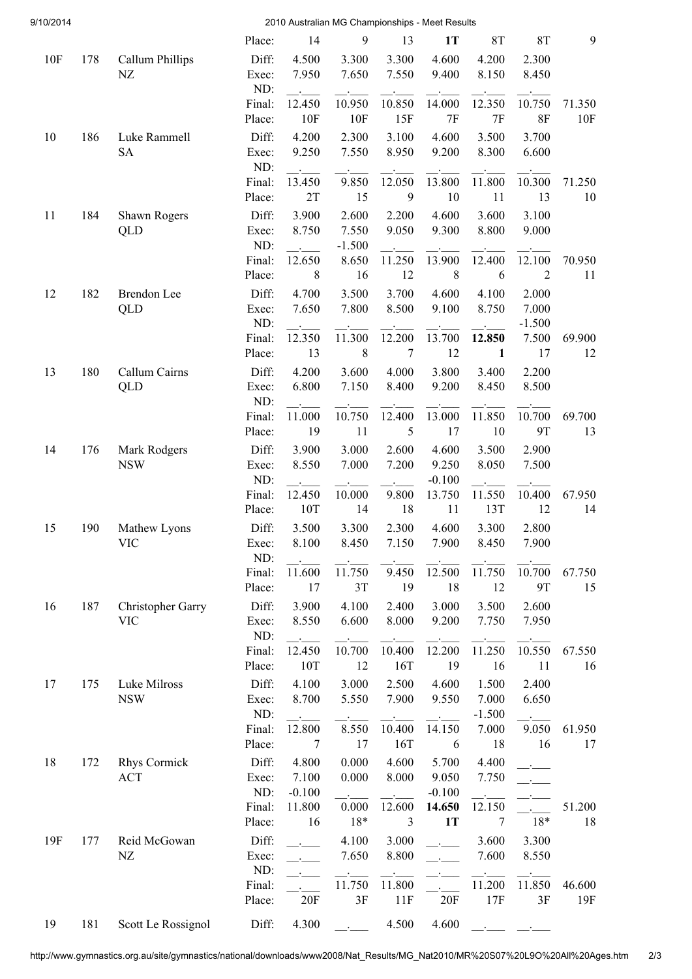| 9/10/2014 |     | 2010 Australian MG Championships - Meet Results |                  |                |                |                |                |                   |                   |               |
|-----------|-----|-------------------------------------------------|------------------|----------------|----------------|----------------|----------------|-------------------|-------------------|---------------|
|           |     |                                                 | Place:           | 14             | 9              | 13             | 1T             | <b>8T</b>         | 8T                | 9             |
| 10F       | 178 | Callum Phillips                                 | Diff:            | 4.500          | 3.300          | 3.300          | 4.600          | 4.200             | 2.300             |               |
|           |     | NZ                                              | Exec:            | 7.950          | 7.650          | 7.550          | 9.400          | 8.150             | 8.450             |               |
|           |     |                                                 | ND:              |                |                |                |                |                   |                   |               |
|           |     |                                                 | Final:           | 12.450         | 10.950         | 10.850         | 14.000         | 12.350            | 10.750            | 71.350        |
|           |     |                                                 | Place:           | 10F            | 10F            | 15F            | 7F             | 7F                | 8F                | 10F           |
| 10        | 186 | Luke Rammell<br><b>SA</b>                       | Diff:<br>Exec:   | 4.200<br>9.250 | 2.300<br>7.550 | 3.100<br>8.950 | 4.600<br>9.200 | 3.500<br>8.300    | 3.700<br>6.600    |               |
|           |     |                                                 | ND:              |                |                |                |                |                   |                   |               |
|           |     |                                                 | Final:           | 13.450         | 9.850          | 12.050         | 13.800         | 11.800            | 10.300            | 71.250        |
|           |     |                                                 | Place:           | 2T             | 15             | 9              | 10             | 11                | 13                | 10            |
| 11        | 184 | Shawn Rogers                                    | Diff:            | 3.900          | 2.600          | 2.200          | 4.600          | 3.600             | 3.100             |               |
|           |     | QLD                                             | Exec:            | 8.750          | 7.550          | 9.050          | 9.300          | 8.800             | 9.000             |               |
|           |     |                                                 | ND:              |                | $-1.500$       |                |                |                   |                   |               |
|           |     |                                                 | Final:           | 12.650         | 8.650          | 11.250         | 13.900         | 12.400            | 12.100            | 70.950        |
|           |     |                                                 | Place:           | 8              | 16             | 12             | $\,8\,$        | 6                 | $\overline{2}$    | 11            |
| 12        | 182 | Brendon Lee                                     | Diff:            | 4.700          | 3.500          | 3.700          | 4.600          | 4.100             | 2.000             |               |
|           |     | QLD                                             | Exec:<br>ND:     | 7.650          | 7.800          | 8.500          | 9.100          | 8.750             | 7.000<br>$-1.500$ |               |
|           |     |                                                 | Final:           | 12.350         | 11.300         | 12.200         | 13.700         | 12.850            | 7.500             | 69.900        |
|           |     |                                                 | Place:           | 13             | $\,8\,$        | 7              | 12             | $\mathbf{1}$      | 17                | 12            |
| 13        | 180 | Callum Cairns                                   | Diff:            | 4.200          | 3.600          | 4.000          | 3.800          | 3.400             | 2.200             |               |
|           |     | QLD                                             | Exec:            | 6.800          | 7.150          | 8.400          | 9.200          | 8.450             | 8.500             |               |
|           |     |                                                 | ND:              |                |                |                |                |                   |                   |               |
|           |     |                                                 | Final:           | 11.000         | 10.750         | 12.400         | 13.000         | 11.850            | 10.700            | 69.700        |
|           |     |                                                 | Place:           | 19             | 11             | 5              | 17             | 10                | <b>9T</b>         | 13            |
| 14        | 176 | Mark Rodgers                                    | Diff:            | 3.900          | 3.000          | 2.600          | 4.600          | 3.500             | 2.900             |               |
|           |     | <b>NSW</b>                                      | Exec:            | 8.550          | 7.000          | 7.200          | 9.250          | 8.050             | 7.500             |               |
|           |     |                                                 | ND:              |                |                |                | $-0.100$       |                   |                   |               |
|           |     |                                                 | Final:<br>Place: | 12.450<br>10T  | 10.000<br>14   | 9.800<br>18    | 13.750<br>11   | 11.550<br>13T     | 10.400<br>12      | 67.950<br>14  |
|           |     |                                                 |                  |                |                |                |                |                   |                   |               |
| 15        | 190 | Mathew Lyons<br><b>VIC</b>                      | Diff:<br>Exec:   | 3.500<br>8.100 | 3.300<br>8.450 | 2.300<br>7.150 | 4.600<br>7.900 | 3.300<br>8.450    | 2.800<br>7.900    |               |
|           |     |                                                 | ND:              |                |                |                |                |                   |                   |               |
|           |     |                                                 | Final:           | 11.600         | 11.750         | 9.450          | 12.500         | 11.750            | 10.700            | 67.750        |
|           |     |                                                 | Place:           | 17             | 3T             | 19             | 18             | 12                | <b>9T</b>         | 15            |
| 16        | 187 | Christopher Garry                               | Diff:            | 3.900          | 4.100          | 2.400          | 3.000          | 3.500             | 2.600             |               |
|           |     | <b>VIC</b>                                      | Exec:            | 8.550          | 6.600          | 8.000          | 9.200          | 7.750             | 7.950             |               |
|           |     |                                                 | ND:              |                |                |                |                |                   |                   |               |
|           |     |                                                 | Final:           | 12.450         | 10.700         | 10.400         | 12.200         | 11.250            | 10.550            | 67.550        |
|           |     |                                                 | Place:           | 10T            | 12             | 16T            | 19             | 16                | 11                | 16            |
| 17        | 175 | Luke Milross                                    | Diff:            | 4.100          | 3.000          | 2.500          | 4.600          | 1.500             | 2.400             |               |
|           |     | <b>NSW</b>                                      | Exec:<br>ND:     | 8.700          | 5.550          | 7.900          | 9.550          | 7.000<br>$-1.500$ | 6.650             |               |
|           |     |                                                 | Final:           | 12.800         | 8.550          | 10.400         | 14.150         | 7.000             | 9.050             | 61.950        |
|           |     |                                                 | Place:           | 7              | 17             | 16T            | 6              | 18                | 16                | 17            |
| 18        | 172 | <b>Rhys Cormick</b>                             | Diff:            | 4.800          | 0.000          | 4.600          | 5.700          | 4.400             |                   |               |
|           |     | <b>ACT</b>                                      | Exec:            | 7.100          | 0.000          | 8.000          | 9.050          | 7.750             |                   |               |
|           |     |                                                 | ND:              | $-0.100$       |                |                | $-0.100$       |                   |                   |               |
|           |     |                                                 | Final:           | 11.800         | 0.000          | 12.600         | 14.650         | 12.150            |                   | 51.200        |
|           |     |                                                 | Place:           | 16             | $18*$          | 3              | 1T             | 7                 | $18*$             | 18            |
| 19F       | 177 | Reid McGowan                                    | Diff:            |                | 4.100          | 3.000          |                | 3.600             | 3.300             |               |
|           |     | NZ                                              | Exec:            |                | 7.650          | 8.800          |                | 7.600             | 8.550             |               |
|           |     |                                                 | ND:              |                |                |                |                |                   |                   |               |
|           |     |                                                 | Final:<br>Place: | 20F            | 11.750<br>3F   | 11.800<br>11F  | 20F            | 11.200<br>17F     | 11.850<br>3F      | 46.600<br>19F |
|           |     |                                                 |                  |                |                |                |                |                   |                   |               |
| 19        | 181 | Scott Le Rossignol                              | Diff:            | 4.300          |                | 4.500          | 4.600          |                   |                   |               |